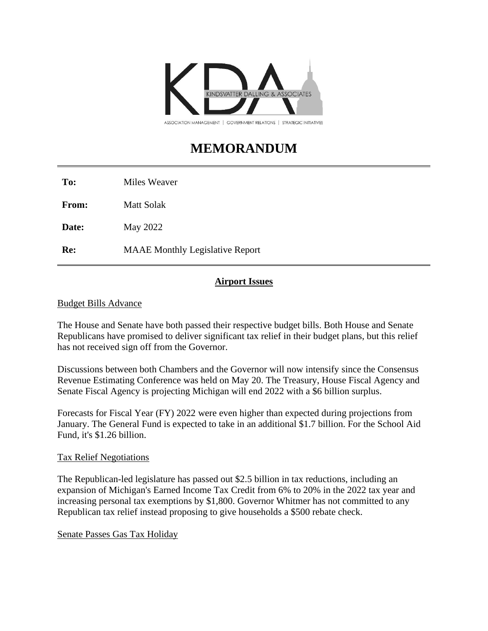

# **MEMORANDUM**

**To:** Miles Weaver

**From:** Matt Solak

**Date:** May 2022

**Re:** MAAE Monthly Legislative Report

# **Airport Issues**

## Budget Bills Advance

The House and Senate have both passed their respective budget bills. Both House and Senate Republicans have promised to deliver significant tax relief in their budget plans, but this relief has not received sign off from the Governor.

Discussions between both Chambers and the Governor will now intensify since the Consensus Revenue Estimating Conference was held on May 20. The Treasury, House Fiscal Agency and Senate Fiscal Agency is projecting Michigan will end 2022 with a \$6 billion surplus.

Forecasts for Fiscal Year (FY) 2022 were even higher than expected during projections from January. The General Fund is expected to take in an additional \$1.7 billion. For the School Aid Fund, it's \$1.26 billion.

#### Tax Relief Negotiations

The Republican-led legislature has passed out \$2.5 billion in tax reductions, including an expansion of Michigan's Earned Income Tax Credit from 6% to 20% in the 2022 tax year and increasing personal tax exemptions by \$1,800. Governor Whitmer has not committed to any Republican tax relief instead proposing to give households a \$500 rebate check.

# Senate Passes Gas Tax Holiday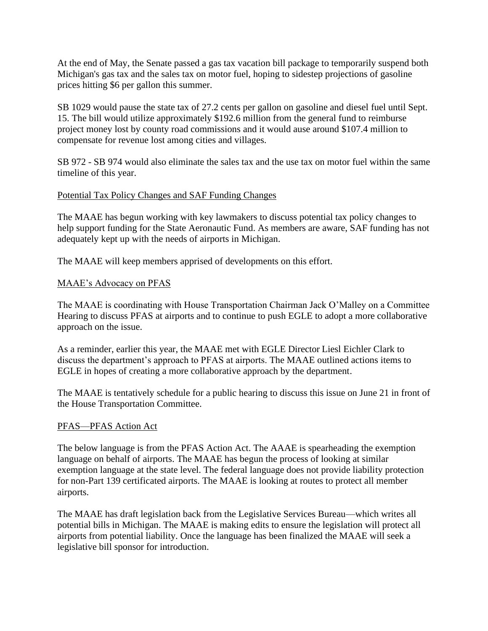At the end of May, the Senate passed a gas tax vacation bill package to temporarily suspend both Michigan's gas tax and the sales tax on motor fuel, hoping to sidestep projections of gasoline prices hitting \$6 per gallon this summer.

SB 1029 would pause the state tax of 27.2 cents per gallon on gasoline and diesel fuel until Sept. 15. The bill would utilize approximately \$192.6 million from the general fund to reimburse project money lost by county road commissions and it would ause around \$107.4 million to compensate for revenue lost among cities and villages.

SB 972 - SB 974 would also eliminate the sales tax and the use tax on motor fuel within the same timeline of this year.

#### Potential Tax Policy Changes and SAF Funding Changes

The MAAE has begun working with key lawmakers to discuss potential tax policy changes to help support funding for the State Aeronautic Fund. As members are aware, SAF funding has not adequately kept up with the needs of airports in Michigan.

The MAAE will keep members apprised of developments on this effort.

## MAAE's Advocacy on PFAS

The MAAE is coordinating with House Transportation Chairman Jack O'Malley on a Committee Hearing to discuss PFAS at airports and to continue to push EGLE to adopt a more collaborative approach on the issue.

As a reminder, earlier this year, the MAAE met with EGLE Director Liesl Eichler Clark to discuss the department's approach to PFAS at airports. The MAAE outlined actions items to EGLE in hopes of creating a more collaborative approach by the department.

The MAAE is tentatively schedule for a public hearing to discuss this issue on June 21 in front of the House Transportation Committee.

#### PFAS—PFAS Action Act

The below language is from the PFAS Action Act. The AAAE is spearheading the exemption language on behalf of airports. The MAAE has begun the process of looking at similar exemption language at the state level. The federal language does not provide liability protection for non-Part 139 certificated airports. The MAAE is looking at routes to protect all member airports.

The MAAE has draft legislation back from the Legislative Services Bureau—which writes all potential bills in Michigan. The MAAE is making edits to ensure the legislation will protect all airports from potential liability. Once the language has been finalized the MAAE will seek a legislative bill sponsor for introduction.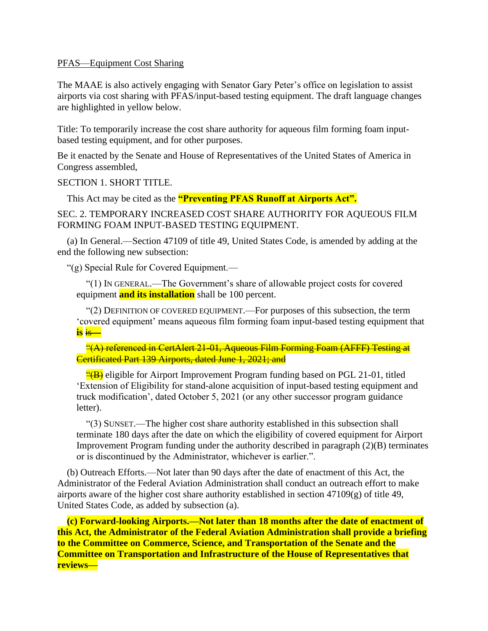#### PFAS—Equipment Cost Sharing

The MAAE is also actively engaging with Senator Gary Peter's office on legislation to assist airports via cost sharing with PFAS/input-based testing equipment. The draft language changes are highlighted in yellow below.

Title: To temporarily increase the cost share authority for aqueous film forming foam inputbased testing equipment, and for other purposes.

Be it enacted by the Senate and House of Representatives of the United States of America in Congress assembled,

SECTION 1. SHORT TITLE.

This Act may be cited as the **"Preventing PFAS Runoff at Airports Act".**

SEC. 2. TEMPORARY INCREASED COST SHARE AUTHORITY FOR AQUEOUS FILM FORMING FOAM INPUT-BASED TESTING EQUIPMENT.

(a) In General.—Section 47109 of title 49, United States Code, is amended by adding at the end the following new subsection:

"(g) Special Rule for Covered Equipment.—

"(1) IN GENERAL.—The Government's share of allowable project costs for covered equipment **and its installation** shall be 100 percent.

"(2) DEFINITION OF COVERED EQUIPMENT.—For purposes of this subsection, the term 'covered equipment' means aqueous film forming foam input-based testing equipment that **is** is—

"(A) referenced in CertAlert 21-01, Aqueous Film Forming Foam (AFFF) Testing at Certificated Part 139 Airports, dated June 1, 2021; and

 $H(B)$  eligible for Airport Improvement Program funding based on PGL 21-01, titled 'Extension of Eligibility for stand-alone acquisition of input-based testing equipment and truck modification', dated October 5, 2021 (or any other successor program guidance letter).

"(3) SUNSET.—The higher cost share authority established in this subsection shall terminate 180 days after the date on which the eligibility of covered equipment for Airport Improvement Program funding under the authority described in paragraph (2)(B) terminates or is discontinued by the Administrator, whichever is earlier.".

(b) Outreach Efforts.—Not later than 90 days after the date of enactment of this Act, the Administrator of the Federal Aviation Administration shall conduct an outreach effort to make airports aware of the higher cost share authority established in section 47109(g) of title 49, United States Code, as added by subsection (a).

**(c) Forward-looking Airports.—Not later than 18 months after the date of enactment of this Act, the Administrator of the Federal Aviation Administration shall provide a briefing to the Committee on Commerce, Science, and Transportation of the Senate and the Committee on Transportation and Infrastructure of the House of Representatives that reviews—**